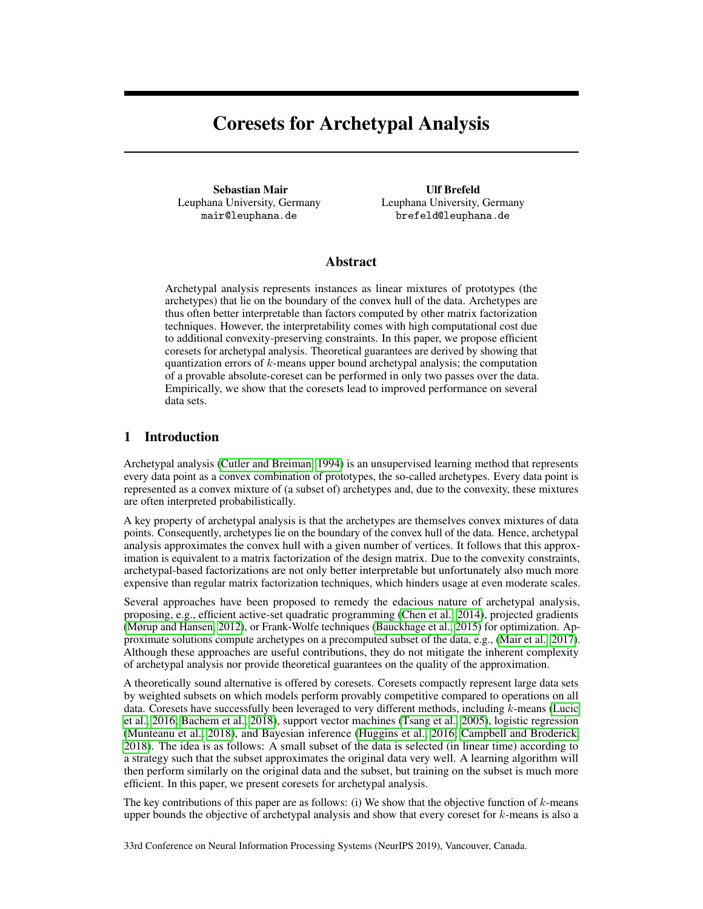# Coresets for Archetypal Analysis

Sebastian Mair Leuphana University, Germany mair@leuphana.de

Ulf Brefeld Leuphana University, Germany brefeld@leuphana.de

## Abstract

Archetypal analysis represents instances as linear mixtures of prototypes (the archetypes) that lie on the boundary of the convex hull of the data. Archetypes are thus often better interpretable than factors computed by other matrix factorization techniques. However, the interpretability comes with high computational cost due to additional convexity-preserving constraints. In this paper, we propose efficient coresets for archetypal analysis. Theoretical guarantees are derived by showing that quantization errors of k-means upper bound archetypal analysis; the computation of a provable absolute-coreset can be performed in only two passes over the data. Empirically, we show that the coresets lead to improved performance on several data sets.

# 1 Introduction

Archetypal analysis (Cutler and Breiman, 1994) is an unsupervised learning method that represents every data point as a convex combination of prototypes, the so-called archetypes. Every data point is represented as a convex mixture of (a subset of) archetypes and, due to the convexity, these mixtures are often interpreted probabilistically.

A key property of archetypal analysis is that the archetypes are themselves convex mixtures of data points. Consequently, archetypes lie on the boundary of the convex hull of the data. Hence, archetypal analysis approximates the convex hull with a given number of vertices. It follows that this approximation is equivalent to a matrix factorization of the design matrix. Due to the convexity constraints, archetypal-based factorizations are not only better interpretable but unfortunately also much more expensive than regular matrix factorization techniques, which hinders usage at even moderate scales.

Several approaches have been proposed to remedy the edacious nature of archetypal analysis, proposing, e.g., efficient active-set quadratic programming (Chen et al., 2014), projected gradients (Mørup and Hansen, 2012), or Frank-Wolfe techniques (Bauckhage et al., 2015) for optimization. Approximate solutions compute archetypes on a precomputed subset of the data, e.g., (Mair et al., 2017). Although these approaches are useful contributions, they do not mitigate the inherent complexity of archetypal analysis nor provide theoretical guarantees on the quality of the approximation.

A theoretically sound alternative is offered by coresets. Coresets compactly represent large data sets by weighted subsets on which models perform provably competitive compared to operations on all data. Coresets have successfully been leveraged to very different methods, including  $k$ -means (Lucic et al., 2016; Bachem et al., 2018), support vector machines (Tsang et al., 2005), logistic regression (Munteanu et al., 2018), and Bayesian inference (Huggins et al., 2016; Campbell and Broderick, 2018). The idea is as follows: A small subset of the data is selected (in linear time) according to a strategy such that the subset approximates the original data very well. A learning algorithm will then perform similarly on the original data and the subset, but training on the subset is much more efficient. In this paper, we present coresets for archetypal analysis.

The key contributions of this paper are as follows: (i) We show that the objective function of  $k$ -means upper bounds the objective of archetypal analysis and show that every coreset for k-means is also a

33rd Conference on Neural Information Processing Systems (NeurIPS 2019), Vancouver, Canada.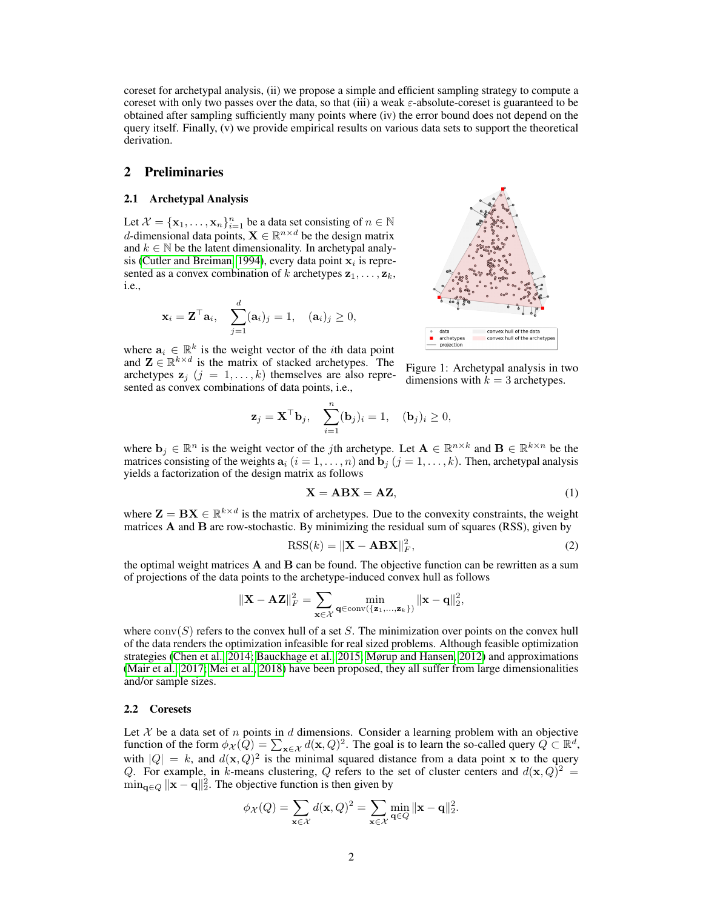coreset for archetypal analysis, (ii) we propose a simple and efficient sampling strategy to compute a coreset with only two passes over the data, so that (iii) a weak  $\varepsilon$ -absolute-coreset is guaranteed to be obtained after sampling sufficiently many points where (iv) the error bound does not depend on the query itself. Finally, (v) we provide empirical results on various data sets to support the theoretical derivation.

### 2 Preliminaries

#### 2.1 Archetypal Analysis

Let  $\mathcal{X} = {\mathbf{x}_1, ..., \mathbf{x}_n}_{i=1}^n$  be a data set consisting of  $n \in \mathbb{N}$ d-dimensional data points,  $X \in \mathbb{R}^{n \times d}$  be the design matrix and  $k \in \mathbb{N}$  be the latent dimensionality. In archetypal analysis (Cutler and Breiman, 1994), every data point  $x_i$  is represented as a convex combination of k archetypes  $z_1, \ldots, z_k$ , i.e.,

$$
\mathbf{x}_i = \mathbf{Z}^\top \mathbf{a}_i, \quad \sum_{j=1}^d (\mathbf{a}_i)_j = 1, \quad (\mathbf{a}_i)_j \geq 0,
$$

where  $a_i \in \mathbb{R}^k$  is the weight vector of the *i*th data point and  $\mathbf{Z} \in \mathbb{R}^{k \times d}$  is the matrix of stacked archetypes. The archetypes  $z_i$   $(i = 1, ..., k)$  themselves are also represented as convex combinations of data points, i.e.,



Figure 1: Archetypal analysis in two dimensions with  $k = 3$  archetypes.

$$
\mathbf{z}_{j} = \mathbf{X}^{\top} \mathbf{b}_{j}, \quad \sum_{i=1}^{n} (\mathbf{b}_{j})_{i} = 1, \quad (\mathbf{b}_{j})_{i} \geq 0,
$$

where  $\mathbf{b}_j \in \mathbb{R}^n$  is the weight vector of the *j*th archetype. Let  $\mathbf{A} \in \mathbb{R}^{n \times k}$  and  $\mathbf{B} \in \mathbb{R}^{k \times n}$  be the matrices consisting of the weights  $a_i$   $(i = 1, \ldots, n)$  and  $b_j$   $(j = 1, \ldots, k)$ . Then, archetypal analysis yields a factorization of the design matrix as follows

$$
X = ABX = AZ,\t(1)
$$

where  $\mathbf{Z} = \mathbf{B} \mathbf{X} \in \mathbb{R}^{k \times d}$  is the matrix of archetypes. Due to the convexity constraints, the weight matrices A and B are row-stochastic. By minimizing the residual sum of squares (RSS), given by

$$
RSS(k) = \|\mathbf{X} - \mathbf{ABX}\|_F^2,
$$
\n(2)

the optimal weight matrices  $A$  and  $B$  can be found. The objective function can be rewritten as a sum of projections of the data points to the archetype-induced convex hull as follows

$$
\|\mathbf{X}-\mathbf{AZ}\|_F^2 = \sum_{\mathbf{x}\in\mathcal{X}}\min_{\mathbf{q}\in\mathrm{conv}(\{\mathbf{z}_1,\ldots,\mathbf{z}_k\})} \|\mathbf{x}-\mathbf{q}\|_2^2,
$$

where  $conv(S)$  refers to the convex hull of a set S. The minimization over points on the convex hull of the data renders the optimization infeasible for real sized problems. Although feasible optimization strategies (Chen et al., 2014; Bauckhage et al., 2015; Mørup and Hansen, 2012) and approximations (Mair et al., 2017; Mei et al., 2018) have been proposed, they all suffer from large dimensionalities and/or sample sizes.

#### 2.2 Coresets

Let  $X$  be a data set of n points in d dimensions. Consider a learning problem with an objective function of the form  $\phi_{\mathcal{X}}(Q) = \sum_{\mathbf{x} \in \mathcal{X}} d(\mathbf{x}, Q)^2$ . The goal is to learn the so-called query  $Q \subset \mathbb{R}^d$ , with  $|Q| = k$ , and  $d(\mathbf{x}, Q)^2$  is the minimal squared distance from a data point x to the query Q. For example, in k-means clustering, Q refers to the set of cluster centers and  $d(\mathbf{x}, Q)^2 =$  $\min_{\mathbf{q} \in Q} \|\mathbf{x} - \mathbf{q}\|_2^2$ . The objective function is then given by

$$
\phi_{\mathcal{X}}(Q) = \sum_{\mathbf{x} \in \mathcal{X}} d(\mathbf{x}, Q)^2 = \sum_{\mathbf{x} \in \mathcal{X}} \min_{\mathbf{q} \in Q} \|\mathbf{x} - \mathbf{q}\|_2^2.
$$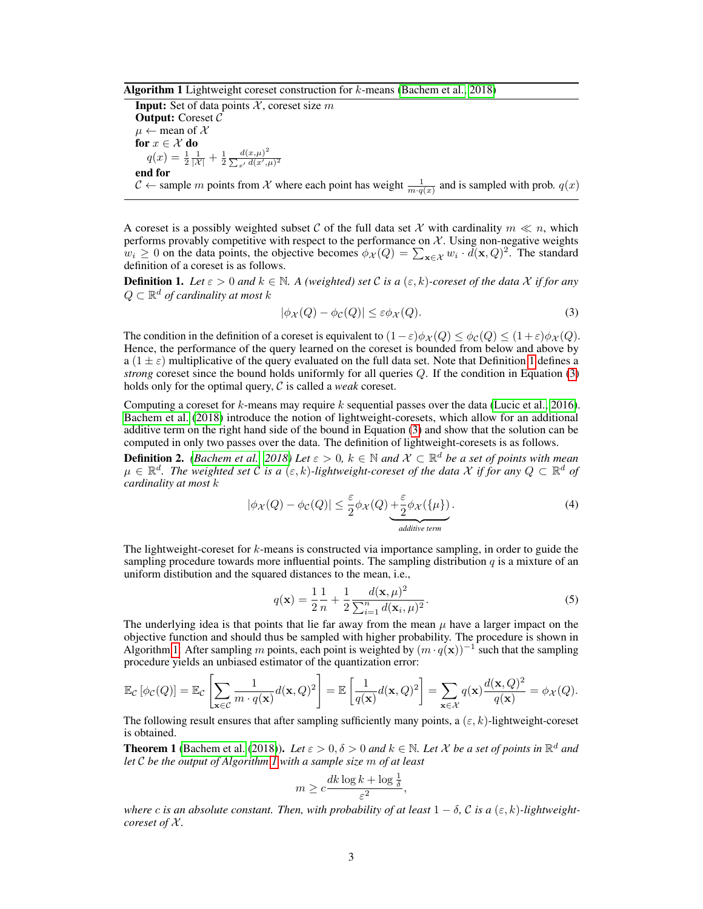#### **Algorithm 1** Lightweight coreset construction for  $k$ -means (Bachem et al., 2018)

**Input:** Set of data points  $X$ , coreset size m Output: Coreset C  $\mu \leftarrow$  mean of X for  $x \in \mathcal{X}$  do  $q(x) = \frac{1}{2} \frac{1}{|x|} + \frac{1}{2}$  $d(x,\mu)^2$  $\sum_{x'} d(x',\mu)^2$ end for  $C \leftarrow$  sample m points from X where each point has weight  $\frac{1}{m \cdot q(x)}$  and is sampled with prob.  $q(x)$ 

A coreset is a possibly weighted subset C of the full data set X with cardinality  $m \ll n$ , which performs provably competitive with respect to the performance on  $X$ . Using non-negative weights  $w_i \geq 0$  on the data points, the objective becomes  $\phi_{\mathcal{X}}(Q) = \sum_{\mathbf{x} \in \mathcal{X}} w_i \cdot d(\mathbf{x}, Q)^2$ . The standard definition of a coreset is as follows.

**Definition 1.** Let  $\varepsilon > 0$  and  $k \in \mathbb{N}$ . A (weighted) set C is a  $(\varepsilon, k)$ -coreset of the data X if for any  $Q \subset \mathbb{R}^d$  of cardinality at most  $k$ 

$$
|\phi_{\mathcal{X}}(Q) - \phi_{\mathcal{C}}(Q)| \le \varepsilon \phi_{\mathcal{X}}(Q). \tag{3}
$$

The condition in the definition of a coreset is equivalent to  $(1 - \varepsilon)\phi_{\mathcal{X}}(Q) \leq \phi_{\mathcal{C}}(Q) \leq (1 + \varepsilon)\phi_{\mathcal{X}}(Q)$ . Hence, the performance of the query learned on the coreset is bounded from below and above by  $a(1 \pm \varepsilon)$  multiplicative of the query evaluated on the full data set. Note that Definition 1 defines a *strong* coreset since the bound holds uniformly for all queries Q. If the condition in Equation (3) holds only for the optimal query, C is called a *weak* coreset.

Computing a coreset for  $k$ -means may require  $k$  sequential passes over the data (Lucic et al., 2016). Bachem et al. (2018) introduce the notion of lightweight-coresets, which allow for an additional additive term on the right hand side of the bound in Equation (3) and show that the solution can be computed in only two passes over the data. The definition of lightweight-coresets is as follows.

**Definition 2.** *(Bachem et al., 2018) Let*  $\varepsilon > 0$ ,  $k \in \mathbb{N}$  *and*  $\mathcal{X} \subset \mathbb{R}^d$  *be a set of points with mean*  $\mu \in \mathbb{R}^d$ . The weighted set C is a  $(\varepsilon, k)$ -lightweight-coreset of the data X if for any  $Q \subset \mathbb{R}^d$  of *cardinality at most* k

$$
|\phi_{\mathcal{X}}(Q) - \phi_{\mathcal{C}}(Q)| \leq \frac{\varepsilon}{2} \phi_{\mathcal{X}}(Q) + \frac{\varepsilon}{2} \phi_{\mathcal{X}}(\{\mu\}).
$$
\n(4)

The lightweight-coreset for  $k$ -means is constructed via importance sampling, in order to guide the sampling procedure towards more influential points. The sampling distribution  $q$  is a mixture of an uniform distibution and the squared distances to the mean, i.e.,

$$
q(\mathbf{x}) = \frac{1}{2} \frac{1}{n} + \frac{1}{2} \frac{d(\mathbf{x}, \mu)^2}{\sum_{i=1}^n d(\mathbf{x}_i, \mu)^2}.
$$
 (5)

The underlying idea is that points that lie far away from the mean  $\mu$  have a larger impact on the objective function and should thus be sampled with higher probability. The procedure is shown in Algorithm 1. After sampling m points, each point is weighted by  $(m \cdot q(\mathbf{x}))^{-1}$  such that the sampling procedure yields an unbiased estimator of the quantization error:

$$
\mathbb{E}_{\mathcal{C}}\left[\phi_{\mathcal{C}}(Q)\right] = \mathbb{E}_{\mathcal{C}}\left[\sum_{\mathbf{x}\in\mathcal{C}}\frac{1}{m\cdot q(\mathbf{x})}d(\mathbf{x},Q)^2\right] = \mathbb{E}\left[\frac{1}{q(\mathbf{x})}d(\mathbf{x},Q)^2\right] = \sum_{\mathbf{x}\in\mathcal{X}}q(\mathbf{x})\frac{d(\mathbf{x},Q)^2}{q(\mathbf{x})} = \phi_{\mathcal{X}}(Q).
$$

The following result ensures that after sampling sufficiently many points, a  $(\varepsilon, k)$ -lightweight-coreset is obtained.

**Theorem 1** (Bachem et al. (2018)). Let  $\varepsilon > 0$ ,  $\delta > 0$  and  $k \in \mathbb{N}$ . Let X be a set of points in  $\mathbb{R}^d$  and *let* C *be the output of Algorithm 1 with a sample size* m *of at least*

$$
m \geq c \frac{dk \log k + \log \frac{1}{\delta}}{\varepsilon^2},
$$

*where* c *is an absolute constant. Then, with probability of at least*  $1 - \delta$ ,  $\mathcal{C}$  *is a* ( $\varepsilon$ ,  $k$ )-*lightweightcoreset of*  $X$ *.*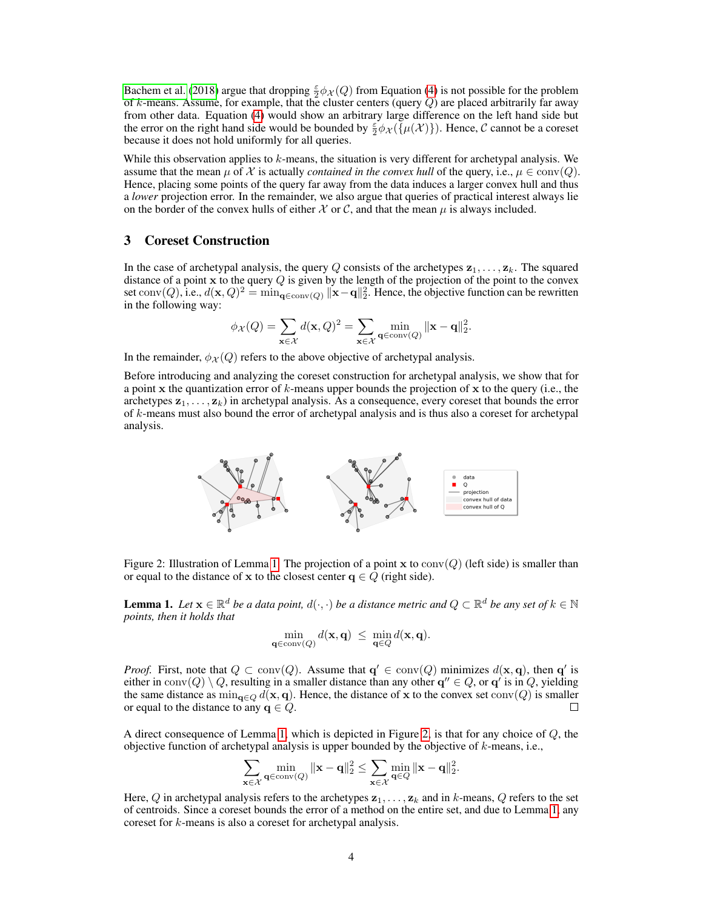Bachem et al. (2018) argue that dropping  $\frac{\epsilon}{2}\phi_{\mathcal{X}}(Q)$  from Equation (4) is not possible for the problem of k-means. Assume, for example, that the cluster centers (query  $Q$ ) are placed arbitrarily far away from other data. Equation (4) would show an arbitrary large difference on the left hand side but the error on the right hand side would be bounded by  $\frac{\varepsilon}{2} \phi_{\mathcal{X}}(\{\mu(\mathcal{X})\})$ . Hence, C cannot be a coreset because it does not hold uniformly for all queries.

While this observation applies to  $k$ -means, the situation is very different for archetypal analysis. We assume that the mean  $\mu$  of X is actually *contained in the convex hull* of the query, i.e.,  $\mu \in \text{conv}(Q)$ . Hence, placing some points of the query far away from the data induces a larger convex hull and thus a *lower* projection error. In the remainder, we also argue that queries of practical interest always lie on the border of the convex hulls of either X or C, and that the mean  $\mu$  is always included.

## 3 Coreset Construction

In the case of archetypal analysis, the query Q consists of the archetypes  $z_1, \ldots, z_k$ . The squared distance of a point x to the query  $Q$  is given by the length of the projection of the point to the convex set  $\text{conv}(Q)$ , i.e.,  $d(\mathbf{x}, Q)^2 = \min_{\mathbf{q} \in \text{conv}(Q)} ||\mathbf{x} - \mathbf{q}||_2^2$ . Hence, the objective function can be rewritten in the following way:

$$
\phi_{\mathcal{X}}(Q) = \sum_{\mathbf{x} \in \mathcal{X}} d(\mathbf{x}, Q)^2 = \sum_{\mathbf{x} \in \mathcal{X}} \min_{\mathbf{q} \in \mathrm{conv}(Q)} \|\mathbf{x} - \mathbf{q}\|_2^2.
$$

In the remainder,  $\phi_{\mathcal{X}}(Q)$  refers to the above objective of archetypal analysis.

Before introducing and analyzing the coreset construction for archetypal analysis, we show that for a point x the quantization error of  $k$ -means upper bounds the projection of x to the query (i.e., the archetypes  $z_1, \ldots, z_k$ ) in archetypal analysis. As a consequence, every coreset that bounds the error of k-means must also bound the error of archetypal analysis and is thus also a coreset for archetypal analysis.



Figure 2: Illustration of Lemma 1. The projection of a point x to  $conv(Q)$  (left side) is smaller than or equal to the distance of x to the closest center  $q \in Q$  (right side).

**Lemma 1.** Let  $\mathbf{x} \in \mathbb{R}^d$  be a data point,  $d(\cdot, \cdot)$  be a distance metric and  $Q \subset \mathbb{R}^d$  be any set of  $k \in \mathbb{N}$ *points, then it holds that*

$$
\min_{\mathbf{q}\in \operatorname{conv}(Q)} d(\mathbf{x},\mathbf{q}) \ \leq \ \min_{\mathbf{q}\in Q} d(\mathbf{x},\mathbf{q}).
$$

*Proof.* First, note that  $Q \subset \text{conv}(Q)$ . Assume that  $q' \in \text{conv}(Q)$  minimizes  $d(\mathbf{x}, \mathbf{q})$ , then  $q'$  is either in  $\text{conv}(Q) \setminus Q$ , resulting in a smaller distance than any other  $q'' \in Q$ , or  $q'$  is in  $Q$ , yielding the same distance as  $\min_{\mathbf{q}\in\mathcal{Q}} d(\mathbf{x}, \mathbf{q})$ . Hence, the distance of x to the convex set conv $(Q)$  is smaller or equal to the distance to any  $q \in Q$ . П

A direct consequence of Lemma 1, which is depicted in Figure 2, is that for any choice of Q, the objective function of archetypal analysis is upper bounded by the objective of  $k$ -means, i.e.,

$$
\sum_{\mathbf{x}\in\mathcal{X}}\min_{\mathbf{q}\in\mathrm{conv}(Q)} \|\mathbf{x}-\mathbf{q}\|_2^2 \leq \sum_{\mathbf{x}\in\mathcal{X}}\min_{\mathbf{q}\in Q} \|\mathbf{x}-\mathbf{q}\|_2^2.
$$

Here, Q in archetypal analysis refers to the archetypes  $z_1, \ldots, z_k$  and in k-means, Q refers to the set of centroids. Since a coreset bounds the error of a method on the entire set, and due to Lemma 1, any coreset for k-means is also a coreset for archetypal analysis.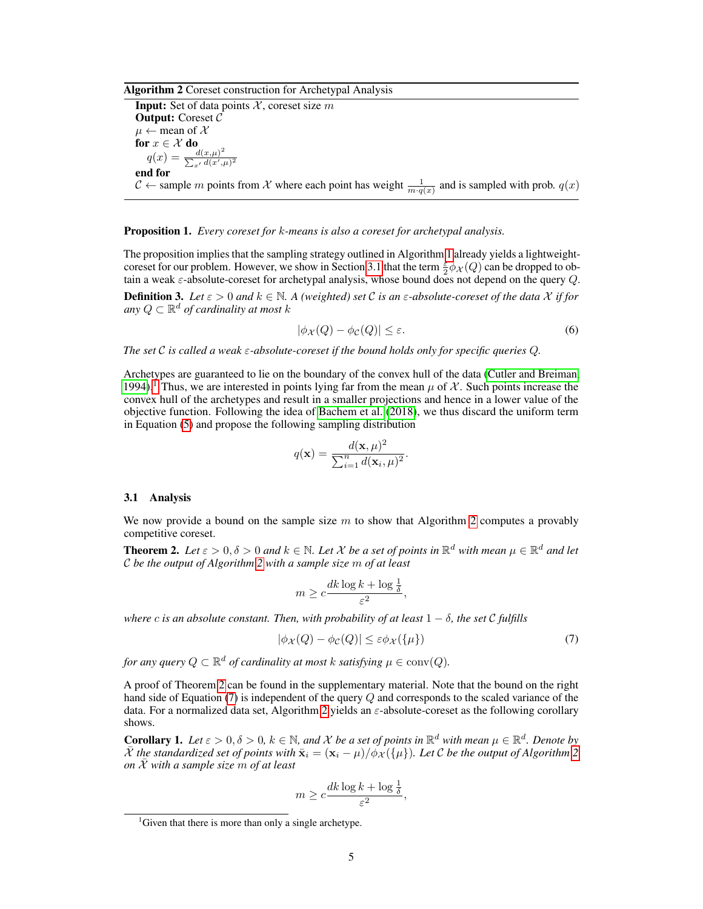Algorithm 2 Coreset construction for Archetypal Analysis

**Input:** Set of data points  $X$ , coreset size m Output: Coreset C  $\mu \leftarrow$  mean of X for  $x \in \mathcal{X}$  do  $q(x) = \frac{d(x,\mu)^2}{\sum_{x} d(x)}$  $\sum_{x'} d(x',\mu)^2$ end for  $C \leftarrow$  sample m points from X where each point has weight  $\frac{1}{m \cdot q(x)}$  and is sampled with prob.  $q(x)$ 

Proposition 1. *Every coreset for* k*-means is also a coreset for archetypal analysis.*

The proposition implies that the sampling strategy outlined in Algorithm 1 already yields a lightweightcoreset for our problem. However, we show in Section 3.1 that the term  $\frac{\varepsilon}{2} \phi_{\mathcal{X}}(Q)$  can be dropped to obtain a weak  $\varepsilon$ -absolute-coreset for archetypal analysis, whose bound does not depend on the query  $Q$ .

**Definition 3.** Let  $\varepsilon > 0$  and  $k \in \mathbb{N}$ . A (weighted) set C is an  $\varepsilon$ -absolute-coreset of the data X if for any  $Q \subset \mathbb{R}^d$  of cardinality at most  $k$ 

$$
|\phi_{\mathcal{X}}(Q) - \phi_{\mathcal{C}}(Q)| \le \varepsilon. \tag{6}
$$

*The set* C *is called a weak* ε*-absolute-coreset if the bound holds only for specific queries* Q*.*

Archetypes are guaranteed to lie on the boundary of the convex hull of the data (Cutler and Breiman, 1994).<sup>1</sup> Thus, we are interested in points lying far from the mean  $\mu$  of X. Such points increase the convex hull of the archetypes and result in a smaller projections and hence in a lower value of the objective function. Following the idea of Bachem et al. (2018), we thus discard the uniform term in Equation (5) and propose the following sampling distribution

$$
q(\mathbf{x}) = \frac{d(\mathbf{x}, \mu)^2}{\sum_{i=1}^n d(\mathbf{x}_i, \mu)^2}.
$$

#### 3.1 Analysis

We now provide a bound on the sample size m to show that Algorithm 2 computes a provably competitive coreset.

**Theorem 2.** Let  $\varepsilon > 0$ ,  $\delta > 0$  and  $k \in \mathbb{N}$ . Let X be a set of points in  $\mathbb{R}^d$  with mean  $\mu \in \mathbb{R}^d$  and let C *be the output of Algorithm 2 with a sample size* m *of at least*

$$
m \geq c \frac{dk \log k + \log \frac{1}{\delta}}{\varepsilon^2},
$$

*where* c *is an absolute constant. Then, with probability of at least*  $1 - \delta$ *, the set* C *fulfills* 

$$
|\phi_{\mathcal{X}}(Q) - \phi_{\mathcal{C}}(Q)| \le \varepsilon \phi_{\mathcal{X}}(\{\mu\})
$$
\n<sup>(7)</sup>

for any query  $Q \subset \mathbb{R}^d$  of cardinality at most  $k$  satisfying  $\mu \in \text{conv}(Q)$ .

A proof of Theorem 2 can be found in the supplementary material. Note that the bound on the right hand side of Equation (7) is independent of the query Q and corresponds to the scaled variance of the data. For a normalized data set, Algorithm 2 yields an  $\varepsilon$ -absolute-coreset as the following corollary shows.

**Corollary 1.** Let  $\varepsilon > 0$ ,  $\delta > 0$ ,  $k \in \mathbb{N}$ , and X be a set of points in  $\mathbb{R}^d$  with mean  $\mu \in \mathbb{R}^d$ . Denote by  $\bar{X}$  *the standardized set of points with*  $\bar{\mathbf{x}}_i = (\mathbf{x}_i - \mu)/\dot{\phi}_X(\{\mu\})$ *. Let* C *be the output of Algorithm* 2 *on*  $\overline{\mathcal{X}}$  *with a sample size* m *of at least* 

$$
m \geq c \frac{dk \log k + \log \frac{1}{\delta}}{\varepsilon^2},
$$

<sup>&</sup>lt;sup>1</sup>Given that there is more than only a single archetype.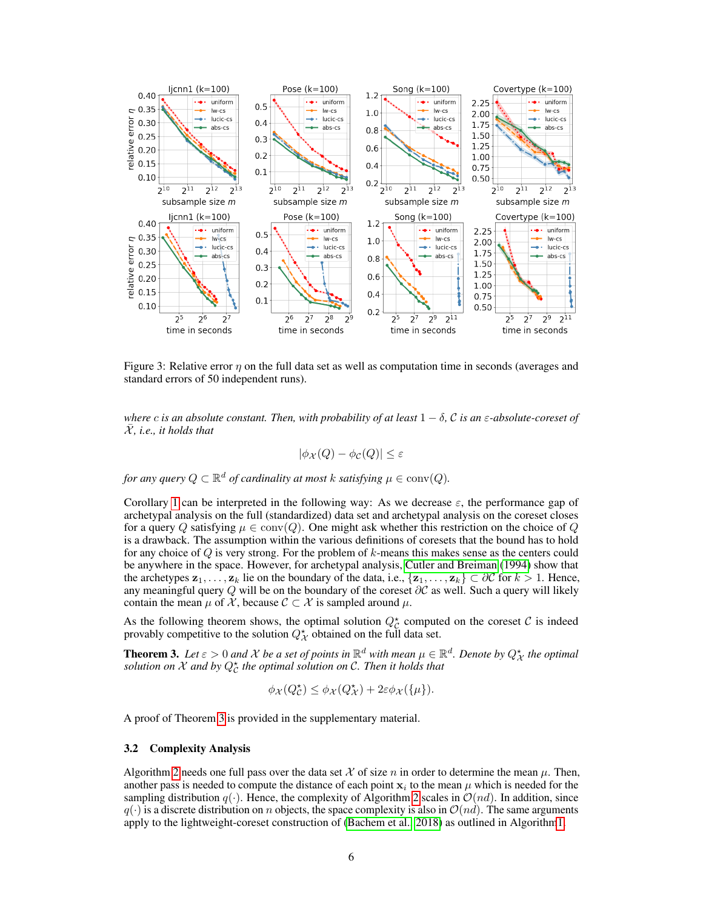

Figure 3: Relative error  $\eta$  on the full data set as well as computation time in seconds (averages and standard errors of 50 independent runs).

*where* c *is an absolute constant. Then, with probability of at least*  $1 - \delta$ , C *is an*  $\varepsilon$ -*absolute-coreset of* X¯*, i.e., it holds that*

$$
|\phi_{\mathcal{X}}(Q) - \phi_{\mathcal{C}}(Q)| \le \varepsilon
$$

for any query  $Q \subset \mathbb{R}^d$  of cardinality at most  $k$  satisfying  $\mu \in \mathrm{conv}(Q)$ .

Corollary 1 can be interpreted in the following way: As we decrease  $\varepsilon$ , the performance gap of archetypal analysis on the full (standardized) data set and archetypal analysis on the coreset closes for a query Q satisfying  $\mu \in \text{conv}(Q)$ . One might ask whether this restriction on the choice of Q is a drawback. The assumption within the various definitions of coresets that the bound has to hold for any choice of  $Q$  is very strong. For the problem of  $k$ -means this makes sense as the centers could be anywhere in the space. However, for archetypal analysis, Cutler and Breiman (1994) show that the archetypes  $z_1, \ldots, z_k$  lie on the boundary of the data, i.e.,  $\{z_1, \ldots, z_k\} \subset \partial C$  for  $k > 1$ . Hence, any meaningful query Q will be on the boundary of the coreset  $\partial C$  as well. Such a query will likely contain the mean  $\mu$  of X, because  $\mathcal{C} \subset \mathcal{X}$  is sampled around  $\mu$ .

As the following theorem shows, the optimal solution  $Q_C^*$  computed on the coreset C is indeed provably competitive to the solution  $Q^{\star}_{\mathcal{X}}$  obtained on the full data set.

**Theorem 3.** Let  $\varepsilon > 0$  and  $\mathcal X$  be a set of points in  $\mathbb R^d$  with mean  $\mu \in \mathbb R^d$ . Denote by  $Q^\star_{\mathcal X}$  the optimal solution on  $\mathcal X$  and by  $Q_{\mathcal C}^{\star}$  the optimal solution on  $\mathcal C.$  Then it holds that

$$
\phi_{\mathcal{X}}(Q_{\mathcal{C}}^{\star}) \leq \phi_{\mathcal{X}}(Q_{\mathcal{X}}^{\star}) + 2\varepsilon \phi_{\mathcal{X}}(\{\mu\}).
$$

A proof of Theorem 3 is provided in the supplementary material.

#### 3.2 Complexity Analysis

Algorithm 2 needs one full pass over the data set X of size n in order to determine the mean  $\mu$ . Then, another pass is needed to compute the distance of each point  $x_i$  to the mean  $\mu$  which is needed for the sampling distribution  $q(.)$ . Hence, the complexity of Algorithm 2 scales in  $\mathcal{O}(nd)$ . In addition, since  $q(\cdot)$  is a discrete distribution on n objects, the space complexity is also in  $\mathcal{O}(nd)$ . The same arguments apply to the lightweight-coreset construction of (Bachem et al., 2018) as outlined in Algorithm1.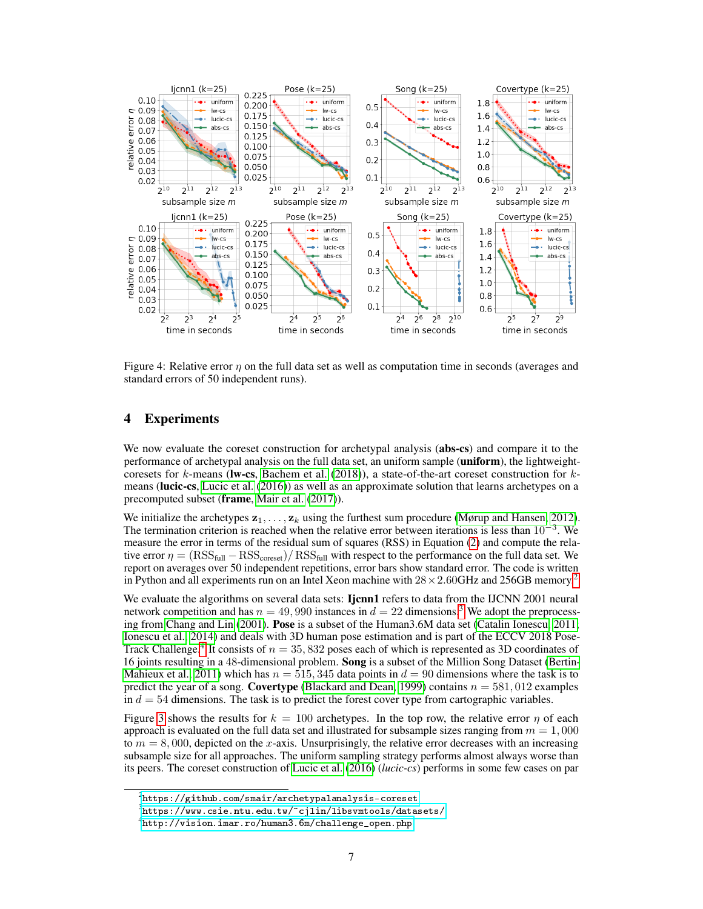

Figure 4: Relative error  $\eta$  on the full data set as well as computation time in seconds (averages and standard errors of 50 independent runs).

# 4 Experiments

We now evaluate the coreset construction for archetypal analysis (abs-cs) and compare it to the performance of archetypal analysis on the full data set, an uniform sample (uniform), the lightweightcoresets for k-means (Iw-cs, Bachem et al. (2018)), a state-of-the-art coreset construction for  $k$ means (lucic-cs, Lucic et al. (2016)) as well as an approximate solution that learns archetypes on a precomputed subset (frame, Mair et al. (2017)).

We initialize the archetypes  $z_1, \ldots, z_k$  using the furthest sum procedure (Mørup and Hansen, 2012). The termination criterion is reached when the relative error between iterations is less than  $10^{-3}$ . We measure the error in terms of the residual sum of squares (RSS) in Equation (2) and compute the relative error  $\eta = (RSS_{full} - RSS_{cores})/RSS_{full}$  with respect to the performance on the full data set. We report on averages over 50 independent repetitions, error bars show standard error. The code is written in Python and all experiments run on an Intel Xeon machine with  $28 \times 2.60$ GHz and 256GB memory.<sup>2</sup>

We evaluate the algorithms on several data sets: Ijcnn1 refers to data from the IJCNN 2001 neural network competition and has  $n = 49,990$  instances in  $d = 22$  dimensions.<sup>3</sup> We adopt the preprocessing from Chang and Lin (2001). Pose is a subset of the Human3.6M data set (Catalin Ionescu, 2011; Ionescu et al., 2014) and deals with 3D human pose estimation and is part of the ECCV 2018 Pose-Track Challenge.<sup>4</sup> It consists of  $n = 35,832$  poses each of which is represented as 3D coordinates of 16 joints resulting in a 48-dimensional problem. Song is a subset of the Million Song Dataset (Bertin-Mahieux et al., 2011) which has  $n = 515,345$  data points in  $d = 90$  dimensions where the task is to predict the year of a song. **Covertype** (Blackard and Dean, 1999) contains  $n = 581,012$  examples in  $d = 54$  dimensions. The task is to predict the forest cover type from cartographic variables.

Figure 3 shows the results for  $k = 100$  archetypes. In the top row, the relative error  $\eta$  of each approach is evaluated on the full data set and illustrated for subsample sizes ranging from  $m = 1,000$ to  $m = 8,000$ , depicted on the x-axis. Unsurprisingly, the relative error decreases with an increasing subsample size for all approaches. The uniform sampling strategy performs almost always worse than its peers. The coreset construction of Lucic et al. (2016) (*lucic-cs*) performs in some few cases on par

 $^{2}$ <https://github.com/smair/archetypalanalysis-coreset>

 $^3$ <https://www.csie.ntu.edu.tw/~cjlin/libsvmtools/datasets/>

 $^4$ http://vision.imar.ro/human $3.6$ m/challenge\_open.php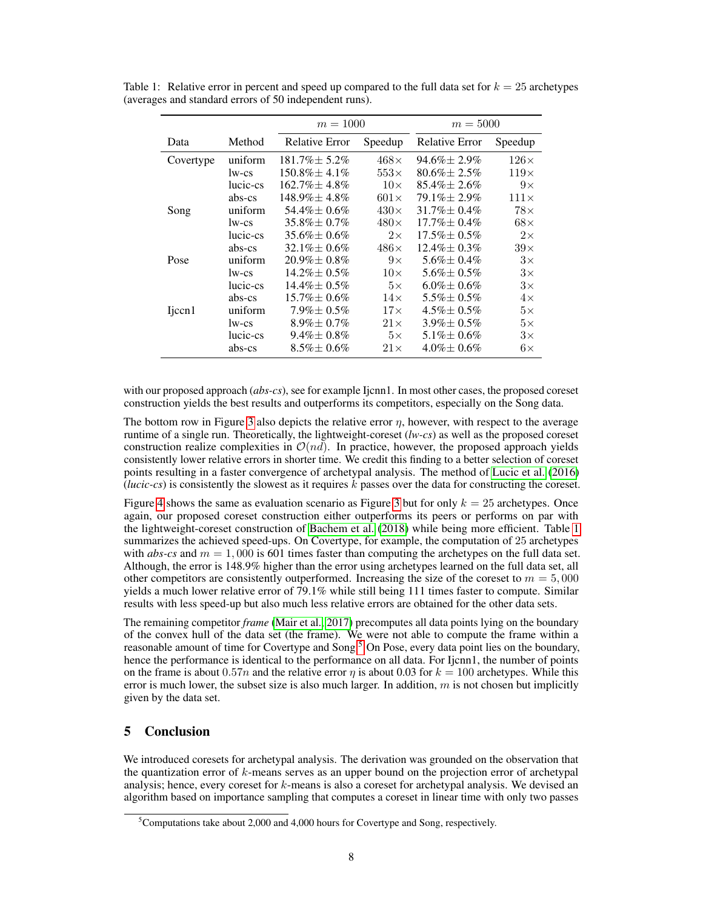|                    |          | $m = 1000$            |             | $m = 5000$         |              |
|--------------------|----------|-----------------------|-------------|--------------------|--------------|
| Data               | Method   | <b>Relative Error</b> | Speedup     | Relative Error     | Speedup      |
| Covertype          | uniform  | $181.7\% \pm 5.2\%$   | $468\times$ | $94.6\% \pm 2.9\%$ | $126\times$  |
|                    | lw-cs    | $150.8\% \pm 4.1\%$   | $553\times$ | $80.6\% \pm 2.5\%$ | $119\times$  |
|                    | lucic-cs | $162.7\% \pm 4.8\%$   | $10\times$  | $85.4\% \pm 2.6\%$ | $9\times$    |
|                    | abs-cs   | $148.9\% \pm 4.8\%$   | $601\times$ | $79.1\% \pm 2.9\%$ | $111 \times$ |
| Song               | uniform  | $54.4\% \pm 0.6\%$    | $430\times$ | $31.7\% \pm 0.4\%$ | $78\times$   |
|                    | lw-cs    | $35.8\% \pm 0.7\%$    | $480\times$ | $17.7\% \pm 0.4\%$ | $68\times$   |
|                    | lucic-cs | $35.6\% \pm 0.6\%$    | $2\times$   | $17.5\% \pm 0.5\%$ | $2\times$    |
|                    | abs-cs   | $32.1\% \pm 0.6\%$    | $486\times$ | $12.4\% \pm 0.3\%$ | $39\times$   |
| Pose               | uniform  | $20.9\% \pm 0.8\%$    | $9\times$   | $5.6\% \pm 0.4\%$  | $3\times$    |
|                    | lw-cs    | $14.2\% \pm 0.5\%$    | $10\times$  | $5.6\% \pm 0.5\%$  | $3\times$    |
|                    | lucic-cs | $14.4\% \pm 0.5\%$    | $5\times$   | $6.0\% \pm 0.6\%$  | $3\times$    |
|                    | abs-cs   | $15.7\% \pm 0.6\%$    | $14\times$  | $5.5\% \pm 0.5\%$  | $4\times$    |
| Ijccn <sub>1</sub> | uniform  | $7.9\% \pm 0.5\%$     | $17\times$  | $4.5\% \pm 0.5\%$  | $5\times$    |
|                    | lw-cs    | $8.9\% \pm 0.7\%$     | $21\times$  | $3.9\% \pm 0.5\%$  | $5\times$    |
|                    | lucic-cs | $9.4\% \pm 0.8\%$     | $5\times$   | $5.1\% \pm 0.6\%$  | $3\times$    |
|                    | abs-cs   | $8.5\% \pm 0.6\%$     | $21\times$  | $4.0\% \pm 0.6\%$  | $6\times$    |

Table 1: Relative error in percent and speed up compared to the full data set for  $k = 25$  archetypes (averages and standard errors of 50 independent runs).

with our proposed approach *(abs-cs)*, see for example Ijcnn1. In most other cases, the proposed coreset construction yields the best results and outperforms its competitors, especially on the Song data.

The bottom row in Figure 3 also depicts the relative error  $\eta$ , however, with respect to the average runtime of a single run. Theoretically, the lightweight-coreset (*lw-cs*) as well as the proposed coreset construction realize complexities in  $\mathcal{O}(nd)$ . In practice, however, the proposed approach yields consistently lower relative errors in shorter time. We credit this finding to a better selection of coreset points resulting in a faster convergence of archetypal analysis. The method of Lucic et al. (2016) (*lucic-cs*) is consistently the slowest as it requires  $k$  passes over the data for constructing the coreset.

Figure 4 shows the same as evaluation scenario as Figure 3 but for only  $k = 25$  archetypes. Once again, our proposed coreset construction either outperforms its peers or performs on par with the lightweight-coreset construction of Bachem et al. (2018) while being more efficient. Table 1 summarizes the achieved speed-ups. On Covertype, for example, the computation of 25 archetypes with *abs-cs* and  $m = 1,000$  is 601 times faster than computing the archetypes on the full data set. Although, the error is 148.9% higher than the error using archetypes learned on the full data set, all other competitors are consistently outperformed. Increasing the size of the coreset to  $m = 5,000$ yields a much lower relative error of 79.1% while still being 111 times faster to compute. Similar results with less speed-up but also much less relative errors are obtained for the other data sets.

The remaining competitor *frame* (Mair et al., 2017) precomputes all data points lying on the boundary of the convex hull of the data set (the frame). We were not able to compute the frame within a reasonable amount of time for Covertype and Song.<sup>5</sup> On Pose, every data point lies on the boundary, hence the performance is identical to the performance on all data. For Ijcnn1, the number of points on the frame is about 0.57n and the relative error  $\eta$  is about 0.03 for  $k = 100$  archetypes. While this error is much lower, the subset size is also much larger. In addition,  $m$  is not chosen but implicitly given by the data set.

# 5 Conclusion

We introduced coresets for archetypal analysis. The derivation was grounded on the observation that the quantization error of  $k$ -means serves as an upper bound on the projection error of archetypal analysis; hence, every coreset for k-means is also a coreset for archetypal analysis. We devised an algorithm based on importance sampling that computes a coreset in linear time with only two passes

 ${}^{5}$ Computations take about 2,000 and 4,000 hours for Covertype and Song, respectively.